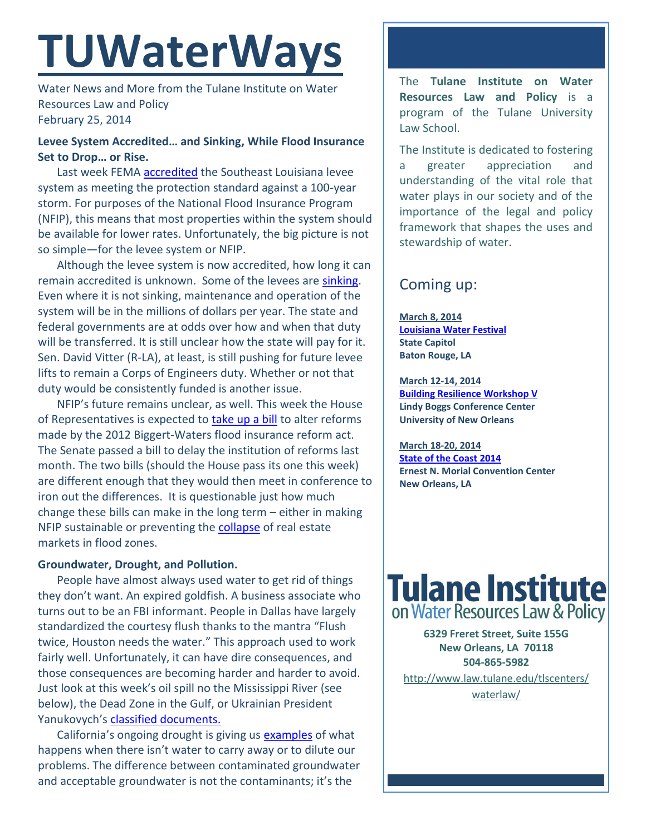# **TUWaterWays**

Water News and More from the Tulane Institute on Water Resources Law and Policy February 25, 2014

# **Levee System Accredited… and Sinking, While Flood Insurance Set to Drop… or Rise.**

Last week FEMA **accredited** the Southeast Louisiana levee system as meeting the protection standard against a 100-year storm. For purposes of the National Flood Insurance Program (NFIP), this means that most properties within the system should be available for lower rates. Unfortunately, the big picture is not so simple—for the levee system or NFIP.

Although the levee system is now accredited, how long it can remain accredited is unknown. Some of the levees are [sinking.](http://thelensnola.org/2014/02/17/sinking-levee-shows-difficulty-of-protecting-new-orleans-from-flooding/) Even where it is not sinking, maintenance and operation of the system will be in the millions of dollars per year. The state and federal governments are at odds over how and when that duty will be transferred. It is still unclear how the state will pay for it. Sen. David Vitter (R-LA), at least, is still pushing for future levee lifts to remain a Corps of Engineers duty. Whether or not that duty would be consistently funded is another issue.

NFIP's future remains unclear, as well. This week the House of Representatives is expected to [take up a bill](http://www.nola.com/politics/index.ssf/2014/02/gop_introduces_bill_to_reduce.html#incart_river) to alter reforms made by the 2012 Biggert-Waters flood insurance reform act. The Senate passed a bill to delay the institution of reforms last month. The two bills (should the House pass its one this week) are different enough that they would then meet in conference to iron out the differences. It is questionable just how much change these bills can make in the long term – either in making NFIP sustainable or preventing the [collapse](http://www.nola.com/business/index.ssf/2014/02/homeowners_trapped_in_limbo_as.html) of real estate markets in flood zones.

## **Groundwater, Drought, and Pollution.**

People have almost always used water to get rid of things they don't want. An expired goldfish. A business associate who turns out to be an FBI informant. People in Dallas have largely standardized the courtesy flush thanks to the mantra "Flush twice, Houston needs the water." This approach used to work fairly well. Unfortunately, it can have dire consequences, and those consequences are becoming harder and harder to avoid. Just look at this week's oil spill no the Mississippi River (see below), the Dead Zone in the Gulf, or Ukrainian President Yanukovych's [classified documents.](http://blog.foreignpolicy.com/posts/2014/02/22/water_logged_the_mysterious_documents_ukraines_leader_dumped_in_a_river_on_his_way_)

California's ongoing drought is giving us [examples](http://www.reuters.com/article/2014/02/19/us-usa-california-drought-idUSBREA1I06P20140219) of what happens when there isn't water to carry away or to dilute our problems. The difference between contaminated groundwater and acceptable groundwater is not the contaminants; it's the

The **Tulane Institute on Water Resources Law and Policy** is a program of the Tulane University Law School.

The Institute is dedicated to fostering a greater appreciation and understanding of the vital role that water plays in our society and of the importance of the legal and policy framework that shapes the uses and stewardship of water.

# Coming up:

**March 8, 2014 [Louisiana Water Festival](http://lasierraclub.org/node/96) State Capitol Baton Rouge, LA**

**March 12-14, 2014 [Building Resilience Workshop V](http://www.resilienceworkshop.org/brw-v/registration-brw-v/) Lindy Boggs Conference Center University of New Orleans**

**March 18-20, 2014 [State of the Coast 2014](http://www.stateofthecoast.org/about-the-conference.html) Ernest N. Morial Convention Center New Orleans, LA**



**6329 Freret Street, Suite 155G New Orleans, LA 70118 504-865-5982** 

[http://www.law.tulane.edu/tlscenters/](http://www.law.tulane.edu/tlscenters/waterlaw/) [waterlaw/](http://www.law.tulane.edu/tlscenters/waterlaw/)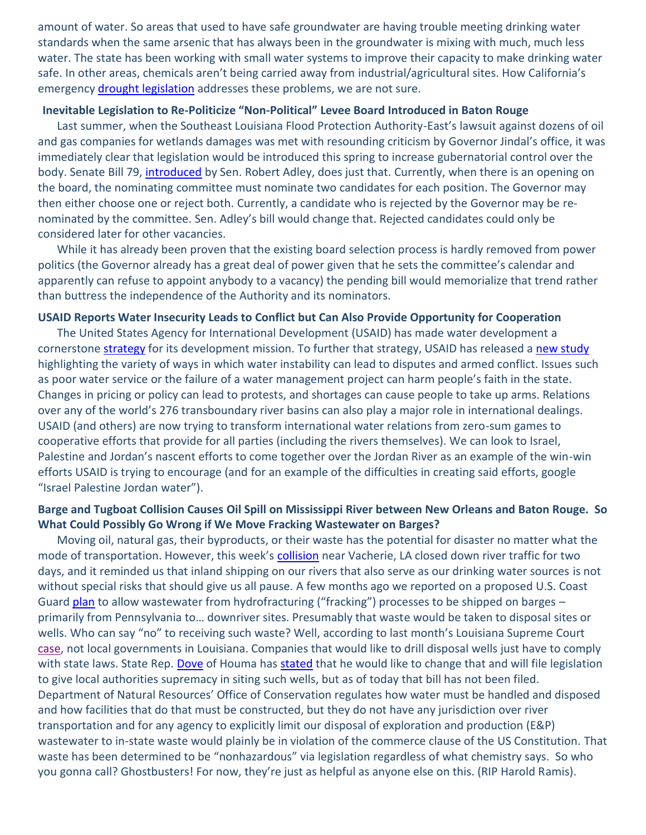amount of water. So areas that used to have safe groundwater are having trouble meeting drinking water standards when the same arsenic that has always been in the groundwater is mixing with much, much less water. The state has been working with small water systems to improve their capacity to make drinking water safe. In other areas, chemicals aren't being carried away from industrial/agricultural sites. How California's emergency [drought legislation](http://www.reuters.com/article/2014/02/20/us-usa-drought-legislation-idUSBREA1I1VJ20140220) addresses these problems, we are not sure.

#### **Inevitable Legislation to Re-Politicize "Non-Political" Levee Board Introduced in Baton Rouge**

Last summer, when the Southeast Louisiana Flood Protection Authority-East's lawsuit against dozens of oil and gas companies for wetlands damages was met with resounding criticism by Governor Jindal's office, it was immediately clear that legislation would be introduced this spring to increase gubernatorial control over the body. Senate Bill 79, *introduced* by Sen. Robert Adley, does just that. Currently, when there is an opening on the board, the nominating committee must nominate two candidates for each position. The Governor may then either choose one or reject both. Currently, a candidate who is rejected by the Governor may be renominated by the committee. Sen. Adley's bill would change that. Rejected candidates could only be considered later for other vacancies.

While it has already been proven that the existing board selection process is hardly removed from power politics (the Governor already has a great deal of power given that he sets the committee's calendar and apparently can refuse to appoint anybody to a vacancy) the pending bill would memorialize that trend rather than buttress the independence of the Authority and its nominators.

#### **USAID Reports Water Insecurity Leads to Conflict but Can Also Provide Opportunity for Cooperation**

The United States Agency for International Development (USAID) has made water development a cornerstone [strategy](http://www.usaid.gov/sites/default/files/documents/1865/USAID_Water_Strategy_3.pdf) for its development mission. To further that strategy, USAID has released a [new study](http://www.wilsoncenter.org/sites/default/files/USAID%20Water%20and%20Conflict%20Toolkit%20for%20Electronic%20Distribution.pdf) highlighting the variety of ways in which water instability can lead to disputes and armed conflict. Issues such as poor water service or the failure of a water management project can harm people's faith in the state. Changes in pricing or policy can lead to protests, and shortages can cause people to take up arms. Relations over any of the world's 276 transboundary river basins can also play a major role in international dealings. USAID (and others) are now trying to transform international water relations from zero-sum games to cooperative efforts that provide for all parties (including the rivers themselves). We can look to Israel, Palestine and Jordan's nascent efforts to come together over the Jordan River as an example of the win-win efforts USAID is trying to encourage (and for an example of the difficulties in creating said efforts, google "Israel Palestine Jordan water").

## **Barge and Tugboat Collision Causes Oil Spill on Mississippi River between New Orleans and Baton Rouge. So What Could Possibly Go Wrong if We Move Fracking Wastewater on Barges?**

Moving oil, natural gas, their byproducts, or their waste has the potential for disaster no matter what the mode of transportation. However, this week's [collision](http://theadvocate.com/home/8459490-125/oil-spill-closes-part-of) near Vacherie, LA closed down river traffic for two days, and it reminded us that inland shipping on our rivers that also serve as our drinking water sources is not without special risks that should give us all pause. A few months ago we reported on a proposed U.S. Coast Guard [plan](http://www.huffingtonpost.com/2013/12/15/fracking-wastewater-barge_n_4448938.html?ncid=edlinkusaolp00000003) to allow wastewater from hydrofracturing ("fracking") processes to be shipped on barges primarily from Pennsylvania to… downriver sites. Presumably that waste would be taken to disposal sites or wells. Who can say "no" to receiving such waste? Well, according to last month's Louisiana Supreme Court [case,](http://www.houmatoday.com/article/20140110/ARTICLES/140119930/1319?template=printpicart) not local governments in Louisiana. Companies that would like to drill disposal wells just have to comply with state laws. State Rep. [Dove](http://house.louisiana.gov/H_Reps/members.asp?ID=52) of Houma ha[s stated](http://www.houmatoday.com/article/20140124/ARTICLES/140129679/1319?template=printpicart) that he would like to change that and will file legislation to give local authorities supremacy in siting such wells, but as of today that bill has not been filed. Department of Natural Resources' Office of Conservation regulates how water must be handled and disposed and how facilities that do that must be constructed, but they do not have any jurisdiction over river transportation and for any agency to explicitly limit our disposal of exploration and production (E&P) wastewater to in-state waste would plainly be in violation of the commerce clause of the US Constitution. That waste has been determined to be "nonhazardous" via legislation regardless of what chemistry says. So who you gonna call? Ghostbusters! For now, they're just as helpful as anyone else on this. (RIP Harold Ramis).